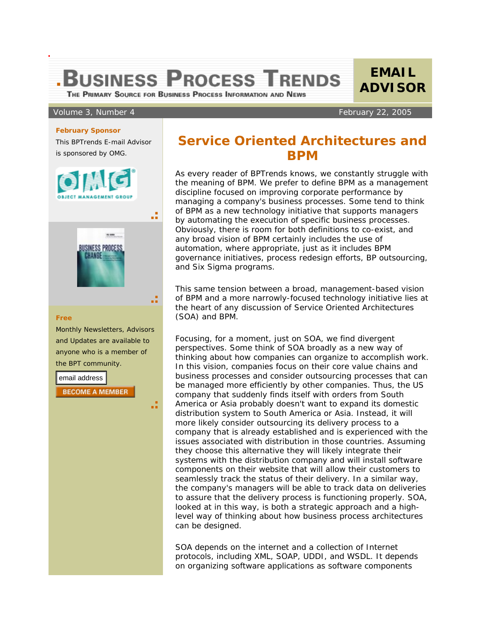**.BUSINESS PROCESS TRENDS** 

THE PRIMARY SOURCE FOR BUSINESS PROCESS INFORMATION AND NEWS

a

.:

a

# Volume 3, Number 4 February 22, 2005

## **February Sponsor**

This BPTrends E-mail Advisor is sponsored by OMG.





### **Free**

Monthly Newsletters, Advisors and Updates are available to anyone who is a member of the BPT community.

email address

**BECOME A MEMBER** 

# **Service Oriented Architectures and BPM**

 As every reader of BPTrends knows, we constantly struggle with the meaning of BPM. We prefer to define BPM as a management discipline focused on improving corporate performance by managing a company's business processes. Some tend to think of BPM as a new technology initiative that supports managers by automating the execution of specific business processes. Obviously, there is room for both definitions to co-exist, and any broad vision of BPM certainly includes the use of automation, where appropriate, just as it includes BPM governance initiatives, process redesign efforts, BP outsourcing, and Six Sigma programs.

This same tension between a broad, management-based vision of BPM and a more narrowly-focused technology initiative lies at the heart of any discussion of Service Oriented Architectures (SOA) and BPM.

Focusing, for a moment, just on SOA, we find divergent perspectives. Some think of SOA broadly as a new way of thinking about how companies can organize to accomplish work. In this vision, companies focus on their core value chains and business processes and consider outsourcing processes that can be managed more efficiently by other companies. Thus, the US company that suddenly finds itself with orders from South America or Asia probably doesn't want to expand its domestic distribution system to South America or Asia. Instead, it will more likely consider outsourcing its delivery process to a company that is already established and is experienced with the issues associated with distribution in those countries. Assuming they choose this alternative they will likely integrate their systems with the distribution company and will install software components on their website that will allow their customers to seamlessly track the status of their delivery. In a similar way, the company's managers will be able to track data on deliveries to assure that the delivery process is functioning properly. SOA, looked at in this way, is both a strategic approach and a highlevel way of thinking about how business process architectures can be designed.

SOA depends on the internet and a collection of Internet protocols, including XML, SOAP, UDDI, and WSDL. It depends on organizing software applications as software components

**EMAIL ADVISOR**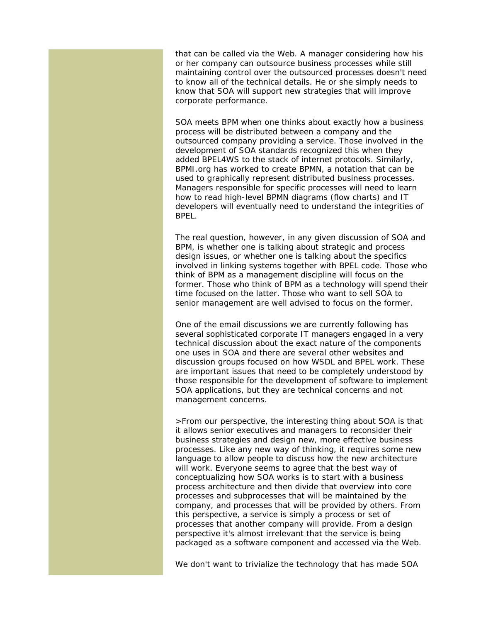that can be called via the Web. A manager considering how his or her company can outsource business processes while still maintaining control over the outsourced processes doesn't need to know all of the technical details. He or she simply needs to know that SOA will support new strategies that will improve corporate performance.

SOA meets BPM when one thinks about exactly how a business process will be distributed between a company and the outsourced company providing a service. Those involved in the development of SOA standards recognized this when they added BPEL4WS to the stack of internet protocols. Similarly, BPMI.org has worked to create BPMN, a notation that can be used to graphically represent distributed business processes. Managers responsible for specific processes will need to learn how to read high-level BPMN diagrams (flow charts) and IT developers will eventually need to understand the integrities of BPEL.

The real question, however, in any given discussion of SOA and BPM, is whether one is talking about strategic and process design issues, or whether one is talking about the specifics involved in linking systems together with BPEL code. Those who think of BPM as a management discipline will focus on the former. Those who think of BPM as a technology will spend their time focused on the latter. Those who want to sell SOA to senior management are well advised to focus on the former.

One of the email discussions we are currently following has several sophisticated corporate IT managers engaged in a very technical discussion about the exact nature of the components one uses in SOA and there are several other websites and discussion groups focused on how WSDL and BPEL work. These are important issues that need to be completely understood by those responsible for the development of software to implement SOA applications, but they are technical concerns and not management concerns.

>From our perspective, the interesting thing about SOA is that it allows senior executives and managers to reconsider their business strategies and design new, more effective business processes. Like any new way of thinking, it requires some new language to allow people to discuss how the new architecture will work. Everyone seems to agree that the best way of conceptualizing how SOA works is to start with a business process architecture and then divide that overview into core processes and subprocesses that will be maintained by the company, and processes that will be provided by others. From this perspective, a service is simply a process or set of processes that another company will provide. From a design perspective it's almost irrelevant that the service is being packaged as a software component and accessed via the Web.

We don't want to trivialize the technology that has made SOA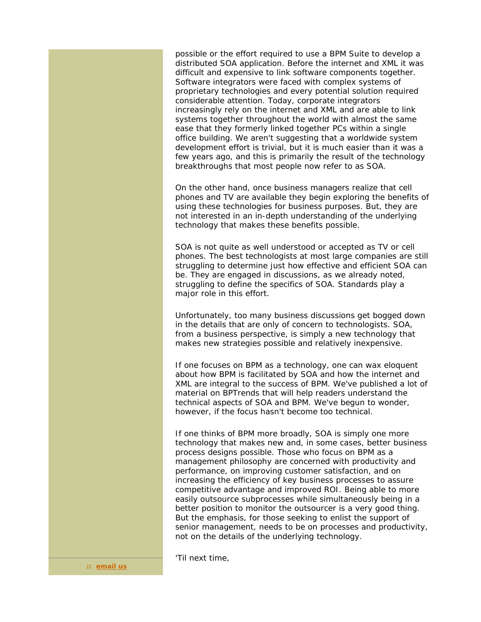possible or the effort required to use a BPM Suite to develop a distributed SOA application. Before the internet and XML it was difficult and expensive to link software components together. Software integrators were faced with complex systems of proprietary technologies and every potential solution required considerable attention. Today, corporate integrators increasingly rely on the internet and XML and are able to link systems together throughout the world with almost the same ease that they formerly linked together PCs within a single office building. We aren't suggesting that a worldwide system development effort is trivial, but it is much easier than it was a few years ago, and this is primarily the result of the technology breakthroughs that most people now refer to as SOA.

On the other hand, once business managers realize that cell phones and TV are available they begin exploring the benefits of using these technologies for business purposes. But, they are not interested in an in-depth understanding of the underlying technology that makes these benefits possible.

SOA is not quite as well understood or accepted as TV or cell phones. The best technologists at most large companies are still struggling to determine just how effective and efficient SOA can be. They are engaged in discussions, as we already noted, struggling to define the specifics of SOA. Standards play a major role in this effort.

Unfortunately, too many business discussions get bogged down in the details that are only of concern to technologists. SOA, from a business perspective, is simply a new technology that makes new strategies possible and relatively inexpensive.

If one focuses on BPM as a technology, one can wax eloquent about how BPM is facilitated by SOA and how the internet and XML are integral to the success of BPM. We've published a lot of material on BPTrends that will help readers understand the technical aspects of SOA and BPM. We've begun to wonder, however, if the focus hasn't become too technical.

If one thinks of BPM more broadly, SOA is simply one more technology that makes new and, in some cases, better business process designs possible. Those who focus on BPM as a management philosophy are concerned with productivity and performance, on improving customer satisfaction, and on increasing the efficiency of key business processes to assure competitive advantage and improved ROI. Being able to more easily outsource subprocesses while simultaneously being in a better position to monitor the outsourcer is a very good thing. But the emphasis, for those seeking to enlist the support of senior management, needs to be on processes and productivity, not on the details of the underlying technology.

 **:: [email us](mailto:cwolf@bptrends.com)**

'Til next time,